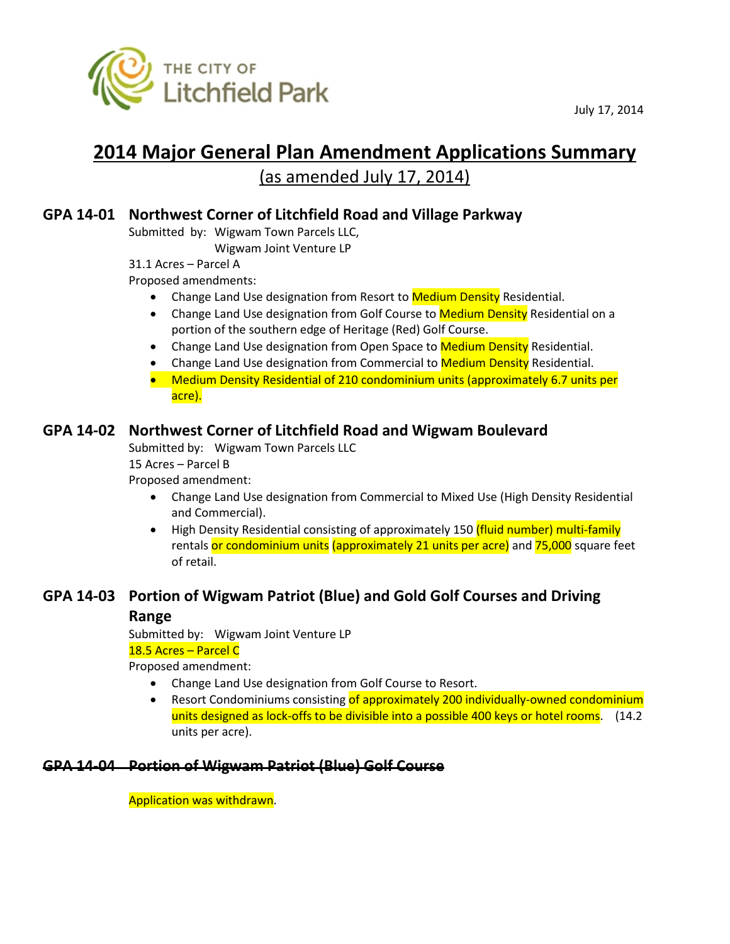

July 17, 2014

# **2014 Major General Plan Amendment Applications Summary** (as amended July 17, 2014)

# **GPA 14-01 Northwest Corner of Litchfield Road and Village Parkway**

Submitted by: Wigwam Town Parcels LLC,

Wigwam Joint Venture LP

31.1 Acres – Parcel A

Proposed amendments:

- Change Land Use designation from Resort to **Medium Density** Residential.
- Change Land Use designation from Golf Course to Medium Density Residential on a portion of the southern edge of Heritage (Red) Golf Course.
- Change Land Use designation from Open Space to Medium Density Residential.
- Change Land Use designation from Commercial to Medium Density Residential.
- Medium Density Residential of 210 condominium units (approximately 6.7 units per acre).

## **GPA 14-02 Northwest Corner of Litchfield Road and Wigwam Boulevard**

Submitted by: Wigwam Town Parcels LLC

15 Acres – Parcel B

Proposed amendment:

- Change Land Use designation from Commercial to Mixed Use (High Density Residential and Commercial).
- High Density Residential consisting of approximately 150 (fluid number) multi-family rentals or condominium units (approximately 21 units per acre) and 75,000 square feet of retail.

## **GPA 14-03 Portion of Wigwam Patriot (Blue) and Gold Golf Courses and Driving**

#### **Range**

Submitted by: Wigwam Joint Venture LP 18.5 Acres – Parcel C

Proposed amendment:

- Change Land Use designation from Golf Course to Resort.
- Resort Condominiums consisting of approximately 200 individually-owned condominium units designed as lock-offs to be divisible into a possible 400 keys or hotel rooms. (14.2) units per acre).

# **GPA 14-04 Portion of Wigwam Patriot (Blue) Golf Course**

Application was withdrawn.